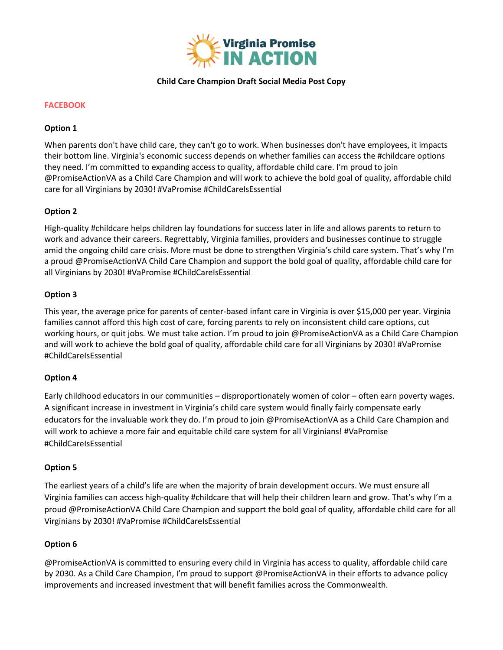

## **Child Care Champion Draft Social Media Post Copy**

# **FACEBOOK**

# **Option 1**

When parents don't have child care, they can't go to work. When businesses don't have employees, it impacts their bottom line. Virginia's economic success depends on whether families can access the #childcare options they need. I'm committed to expanding access to quality, affordable child care. I'm proud to join @PromiseActionVA as a Child Care Champion and will work to achieve the bold goal of quality, affordable child care for all Virginians by 2030! #VaPromise #ChildCareIsEssential

# **Option 2**

High-quality #childcare helps children lay foundations for success later in life and allows parents to return to work and advance their careers. Regrettably, Virginia families, providers and businesses continue to struggle amid the ongoing child care crisis. More must be done to strengthen Virginia's child care system. That's why I'm a proud @PromiseActionVA Child Care Champion and support the bold goal of quality, affordable child care for all Virginians by 2030! #VaPromise #ChildCareIsEssential

## **Option 3**

This year, the average price for parents of center-based infant care in Virginia is over \$15,000 per year. Virginia families cannot afford this high cost of care, forcing parents to rely on inconsistent child care options, cut working hours, or quit jobs. We must take action. I'm proud to join @PromiseActionVA as a Child Care Champion and will work to achieve the bold goal of quality, affordable child care for all Virginians by 2030! #VaPromise #ChildCareIsEssential

## **Option 4**

Early childhood educators in our communities – disproportionately women of color – often earn poverty wages. A significant increase in investment in Virginia's child care system would finally fairly compensate early educators for the invaluable work they do. I'm proud to join @PromiseActionVA as a Child Care Champion and will work to achieve a more fair and equitable child care system for all Virginians! #VaPromise #ChildCareIsEssential

## **Option 5**

The earliest years of a child's life are when the majority of brain development occurs. We must ensure all Virginia families can access high-quality #childcare that will help their children learn and grow. That's why I'm a proud @PromiseActionVA Child Care Champion and support the bold goal of quality, affordable child care for all Virginians by 2030! #VaPromise #ChildCareIsEssential

# **Option 6**

@PromiseActionVA is committed to ensuring every child in Virginia has access to quality, affordable child care by 2030. As a Child Care Champion, I'm proud to support @PromiseActionVA in their efforts to advance policy improvements and increased investment that will benefit families across the Commonwealth.